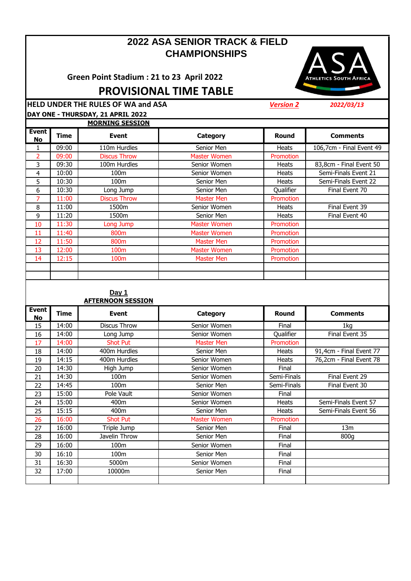# **2022 ASA SENIOR TRACK & FIELD CHAMPIONSHIPS**

**Green Point Stadium : 21 to 23 April 2022**

**ATHLETICS SOUTH AFRICA** 

**PROVISIONAL TIME TABLE**

**HELD UNDER THE RULES OF WA and ASA** *Version 2 2022/03/13* **DAY ONE - THURSDAY, 21 APRIL 2022**

|                           |       | <b>MORNING SESSION</b> |                     |              |                          |
|---------------------------|-------|------------------------|---------------------|--------------|--------------------------|
| <b>Event</b><br><b>No</b> | Time  | <b>Event</b>           | Category            | <b>Round</b> | <b>Comments</b>          |
|                           | 09:00 | 110m Hurdles           | Senior Men          | <b>Heats</b> | 106,7cm - Final Event 49 |
| 2                         | 09:00 | <b>Discus Throw</b>    | Master Women        | Promotion    |                          |
| 3                         | 09:30 | 100m Hurdles           | Senior Women        | <b>Heats</b> | 83,8cm - Final Event 50  |
| 4                         | 10:00 | 100m                   | Senior Women        | <b>Heats</b> | Semi-Finals Event 21     |
| 5.                        | 10:30 | 100m                   | Senior Men          | <b>Heats</b> | Semi-Finals Event 22     |
| 6                         | 10:30 | Long Jump              | Senior Men          | Qualifier    | Final Event 70           |
| 7                         | 11:00 | <b>Discus Throw</b>    | <b>Master Men</b>   | Promotion    |                          |
| 8                         | 11:00 | 1500m                  | Senior Women        | <b>Heats</b> | Final Event 39           |
| 9                         | 11:20 | 1500m                  | Senior Men          | <b>Heats</b> | Final Event 40           |
| 10                        | 11:30 | Long Jump              | <b>Master Women</b> | Promotion    |                          |
| 11                        | 11:40 | 800m                   | <b>Master Women</b> | Promotion    |                          |
| 12                        | 11:50 | 800m                   | Master Men          | Promotion    |                          |
| 13                        | 12:00 | 100m                   | Master Women        | Promotion    |                          |
| 14                        | 12:15 | 100 <sub>m</sub>       | Master Men          | Promotion    |                          |
|                           |       |                        |                     |              |                          |
|                           |       |                        |                     |              |                          |

#### **Day 1 AFTERNOON SESSION**

| <b>Event</b><br>No | Time  | <b>Event</b>        | Category            | Round        | <b>Comments</b>         |
|--------------------|-------|---------------------|---------------------|--------------|-------------------------|
| 15                 | 14:00 | <b>Discus Throw</b> | Senior Women        | Final        | 1kg                     |
| 16                 | 14:00 | Long Jump           | Senior Women        | Qualifier    | Final Event 35          |
| 17                 | 14:00 | <b>Shot Put</b>     | <b>Master Men</b>   | Promotion    |                         |
| 18                 | 14:00 | 400m Hurdles        | Senior Men          | <b>Heats</b> | 91,4cm - Final Event 77 |
| 19                 | 14:15 | 400m Hurdles        | Senior Women        | <b>Heats</b> | 76,2cm - Final Event 78 |
| 20                 | 14:30 | High Jump           | Senior Women        | Final        |                         |
| 21                 | 14:30 | 100m                | Senior Women        | Semi-Finals  | Final Event 29          |
| 22                 | 14:45 | 100m                | Senior Men          | Semi-Finals  | Final Event 30          |
| 23                 | 15:00 | Pole Vault          | Senior Women        | Final        |                         |
| 24                 | 15:00 | 400m                | Senior Women        | <b>Heats</b> | Semi-Finals Event 57    |
| 25                 | 15:15 | 400 <sub>m</sub>    | Senior Men          | <b>Heats</b> | Semi-Finals Event 56    |
| 26                 | 16:00 | <b>Shot Put</b>     | <b>Master Women</b> | Promotion    |                         |
| 27                 | 16:00 | Triple Jump         | Senior Men          | Final        | 13 <sub>m</sub>         |
| 28                 | 16:00 | Javelin Throw       | Senior Men          | Final        | 800g                    |
| 29                 | 16:00 | 100m                | Senior Women        | Final        |                         |
| 30                 | 16:10 | 100m                | Senior Men          | Final        |                         |
| 31                 | 16:30 | 5000m               | Senior Women        | Final        |                         |
| 32                 | 17:00 | 10000m              | Senior Men          | Final        |                         |
|                    |       |                     |                     |              |                         |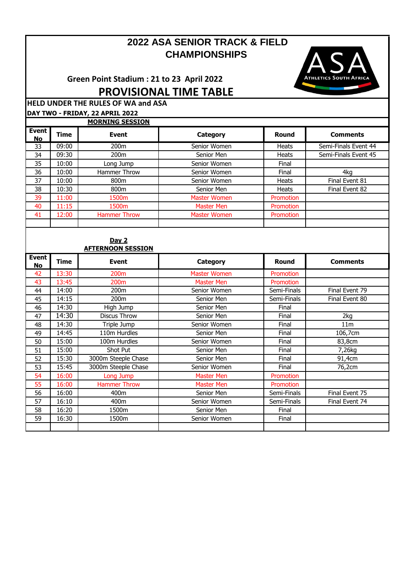# **CHAMPIONSHIPS 2022 ASA SENIOR TRACK & FIELD**

**Green Point Stadium : 21 to 23 April 2022 PROVISIONAL TIME TABLE**



**HELD UNDER THE RULES OF WA and ASA DAY TWO - FRIDAY, 22 APRIL 2022**

|                      |       | <b>MORNING SESSION</b> |                     |                  |                      |
|----------------------|-------|------------------------|---------------------|------------------|----------------------|
| Event  <br><b>No</b> | Time  | <b>Event</b>           | Category            | Round            | <b>Comments</b>      |
| 33                   | 09:00 | 200m                   | Senior Women        | <b>Heats</b>     | Semi-Finals Event 44 |
| 34                   | 09:30 | 200 <sub>m</sub>       | Senior Men          | <b>Heats</b>     | Semi-Finals Event 45 |
| 35                   | 10:00 | Long Jump              | Senior Women        | Final            |                      |
| 36                   | 10:00 | Hammer Throw           | Senior Women        | Final            | 4kg                  |
| 37                   | 10:00 | 800 <sub>m</sub>       | Senior Women        | <b>Heats</b>     | Final Event 81       |
| 38                   | 10:30 | 800 <sub>m</sub>       | Senior Men          | <b>Heats</b>     | Final Event 82       |
| 39                   | 11:00 | 1500m                  | Master Women        | <b>Promotion</b> |                      |
| 40                   | 11:15 | 1500 <sub>m</sub>      | <b>Master Men</b>   | <b>Promotion</b> |                      |
| 41                   | 12:00 | <b>Hammer Throw</b>    | <b>Master Women</b> | <b>Promotion</b> |                      |
|                      |       |                        |                     |                  |                      |

### **Day 2 AFTERNOON SESSION**

|                           | <u>AL LEINIVUII JEJJIUII</u> |                     |                     |                  |                 |  |
|---------------------------|------------------------------|---------------------|---------------------|------------------|-----------------|--|
| <b>Event</b><br><b>No</b> | Time                         | <b>Event</b>        | Category            | <b>Round</b>     | <b>Comments</b> |  |
| 42                        | 13:30                        | 200 <sub>m</sub>    | <b>Master Women</b> | Promotion        |                 |  |
| 43                        | 13:45                        | 200 <sub>m</sub>    | <b>Master Men</b>   | <b>Promotion</b> |                 |  |
| 44                        | 14:00                        | 200m                | Senior Women        | Semi-Finals      | Final Event 79  |  |
| 45                        | 14:15                        | 200 <sub>m</sub>    | Senior Men          | Semi-Finals      | Final Event 80  |  |
| 46                        | 14:30                        | High Jump           | Senior Men          | Final            |                 |  |
| 47                        | 14:30                        | <b>Discus Throw</b> | Senior Men          | Final            | 2kg             |  |
| 48                        | 14:30                        | Triple Jump         | Senior Women        | Final            | 11 <sub>m</sub> |  |
| 49                        | 14:45                        | 110m Hurdles        | Senior Men          | Final            | 106,7cm         |  |
| 50                        | 15:00                        | 100m Hurdles        | Senior Women        | Final            | 83,8cm          |  |
| 51                        | 15:00                        | Shot Put            | Senior Men          | Final            | 7,26kg          |  |
| 52                        | 15:30                        | 3000m Steeple Chase | Senior Men          | Final            | 91,4cm          |  |
| 53                        | 15:45                        | 3000m Steeple Chase | Senior Women        | Final            | 76,2cm          |  |
| 54                        | 16:00                        | Long Jump           | <b>Master Men</b>   | Promotion        |                 |  |
| 55                        | 16:00                        | <b>Hammer Throw</b> | <b>Master Men</b>   | Promotion        |                 |  |
| 56                        | 16:00                        | 400m                | Senior Men          | Semi-Finals      | Final Event 75  |  |
| 57                        | 16:10                        | 400m                | Senior Women        | Semi-Finals      | Final Event 74  |  |
| 58                        | 16:20                        | 1500m               | Senior Men          | Final            |                 |  |
| 59                        | 16:30                        | 1500m               | Senior Women        | Final            |                 |  |
|                           |                              |                     |                     |                  |                 |  |